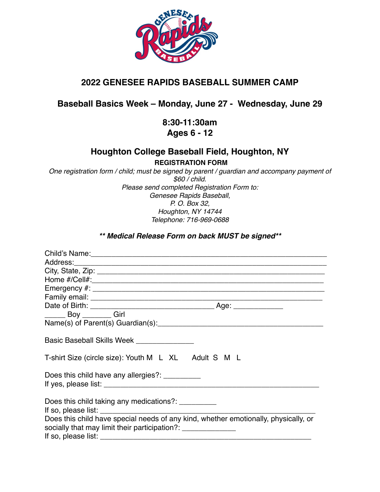

# **2022 GENESEE RAPIDS BASEBALL SUMMER CAMP**

## **Baseball Basics Week – Monday, June 27 - Wednesday, June 29**

### **8:30-11:30am Ages 6 - 12**

### **Houghton College Baseball Field, Houghton, NY REGISTRATION FORM**

*One registration form / child; must be signed by parent / guardian and accompany payment of \$60 / child. Please send completed Registration Form to: Genesee Rapids Baseball, P. O. Box 32, Houghton, NY 14744 Telephone: 716-969-0688*

#### *\*\* Medical Release Form on back MUST be signed\*\**

| Boy ________Girl                                                                                                                                     |
|------------------------------------------------------------------------------------------------------------------------------------------------------|
|                                                                                                                                                      |
| Basic Baseball Skills Week _______________                                                                                                           |
| T-shirt Size (circle size): Youth M L XL Adult S M L                                                                                                 |
| Does this child have any allergies?: _________                                                                                                       |
| Does this child taking any medications?: __________                                                                                                  |
| Does this child have special needs of any kind, whether emotionally, physically, or<br>socially that may limit their participation?: _______________ |
|                                                                                                                                                      |